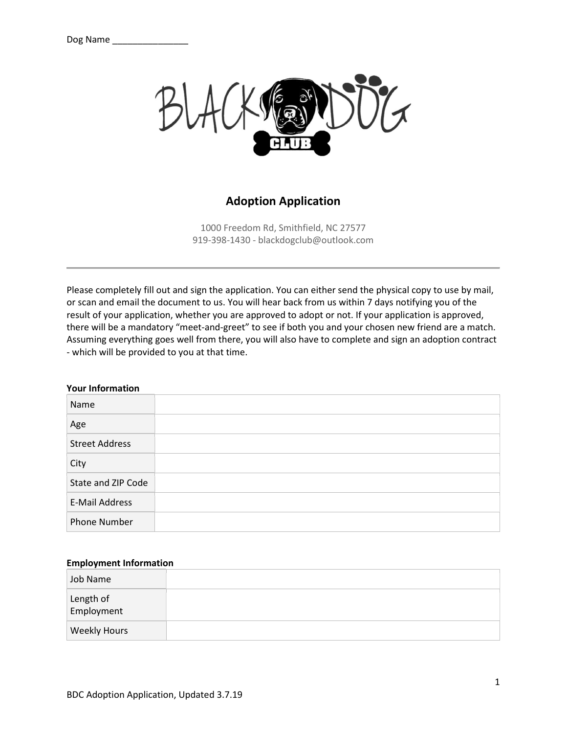

## Adoption Application

1000 Freedom Rd, Smithfield, NC 27577 919-398-1430 - blackdogclub@outlook.com

Please completely fill out and sign the application. You can either send the physical copy to use by mail, or scan and email the document to us. You will hear back from us within 7 days notifying you of the result of your application, whether you are approved to adopt or not. If your application is approved, there will be a mandatory "meet-and-greet" to see if both you and your chosen new friend are a match. Assuming everything goes well from there, you will also have to complete and sign an adoption contract - which will be provided to you at that time.

## Your Information

| Name                  |  |
|-----------------------|--|
| Age                   |  |
| <b>Street Address</b> |  |
| City                  |  |
| State and ZIP Code    |  |
| <b>E-Mail Address</b> |  |
| <b>Phone Number</b>   |  |

## Employment Information

| Job Name                |  |
|-------------------------|--|
| Length of<br>Employment |  |
| <b>Weekly Hours</b>     |  |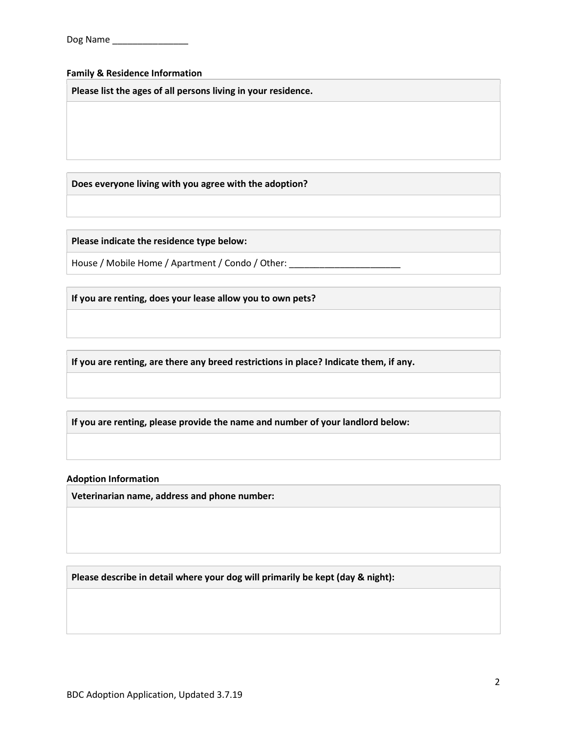## Family & Residence Information

Please list the ages of all persons living in your residence.

Does everyone living with you agree with the adoption?

Please indicate the residence type below:

House / Mobile Home / Apartment / Condo / Other: \_\_\_\_\_\_\_\_\_\_\_\_\_\_\_\_\_\_\_\_\_\_\_\_\_\_\_\_\_\_\_

If you are renting, does your lease allow you to own pets?

If you are renting, are there any breed restrictions in place? Indicate them, if any.

If you are renting, please provide the name and number of your landlord below:

Adoption Information

Veterinarian name, address and phone number:

Please describe in detail where your dog will primarily be kept (day & night):